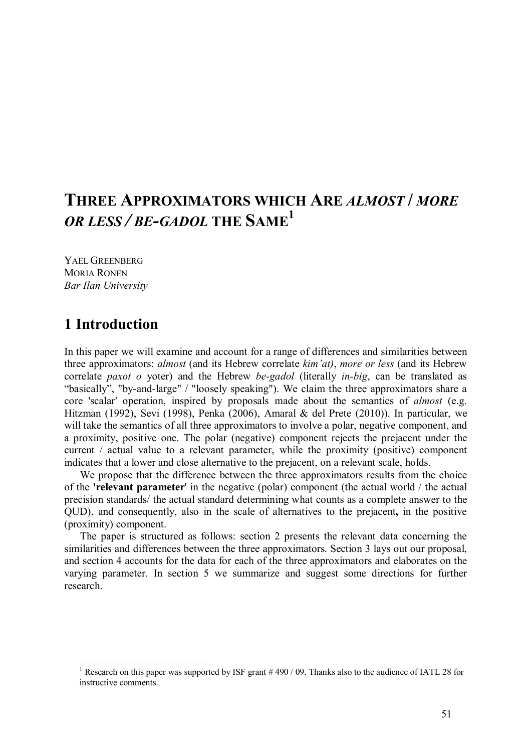# **THREE APPROXIMATORS WHICH ARE** *ALMOST* **/** *MORE OR LESS / BE-GADOL* **THE SAME<sup>1</sup>**

YAEL GREENBERG MORIA RONEN *Bar Ilan University*

## **1 Introduction**

1

In this paper we will examine and account for a range of differences and similarities between three approximators: *almost* (and its Hebrew correlate *kim'at)*, *more or less* (and its Hebrew correlate *paxot o* yoter) and the Hebrew *be-gadol* (literally *in-big*, can be translated as "basically", "by-and-large" / "loosely speaking"). We claim the three approximators share a core 'scalar' operation, inspired by proposals made about the semantics of *almost* (e.g. Hitzman (1992), Sevi (1998), Penka (2006), Amaral & del Prete (2010)). In particular, we will take the semantics of all three approximators to involve a polar, negative component, and a proximity, positive one. The polar (negative) component rejects the prejacent under the current / actual value to a relevant parameter, while the proximity (positive) component indicates that a lower and close alternative to the prejacent, on a relevant scale, holds.

We propose that the difference between the three approximators results from the choice of the **'relevant parameter**' in the negative (polar) component (the actual world / the actual precision standards/ the actual standard determining what counts as a complete answer to the QUD), and consequently, also in the scale of alternatives to the prejacent**,** in the positive (proximity) component.

The paper is structured as follows: section 2 presents the relevant data concerning the similarities and differences between the three approximators. Section 3 lays out our proposal, and section 4 accounts for the data for each of the three approximators and elaborates on the varying parameter. In section 5 we summarize and suggest some directions for further research.

<sup>&</sup>lt;sup>1</sup> Research on this paper was supported by ISF grant  $\#$  490 / 09. Thanks also to the audience of IATL 28 for instructive comments.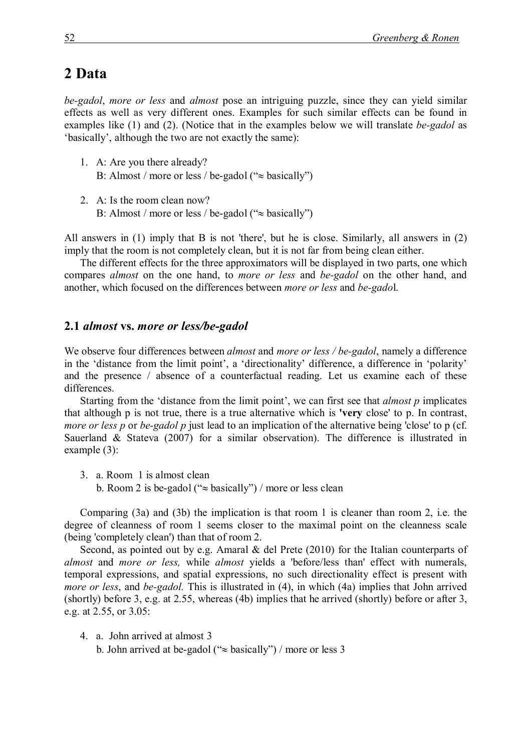## **2 Data**

*be-gadol*, *more or less* and *almost* pose an intriguing puzzle, since they can yield similar effects as well as very different ones. Examples for such similar effects can be found in examples like (1) and (2). (Notice that in the examples below we will translate *be-gadol* as 'basically', although the two are not exactly the same):

- 1. A: Are you there already? B: Almost / more or less / be-gadol (" $\approx$  basically")
- 2. A: Is the room clean now?
	- B: Almost / more or less / be-gadol (" $\approx$  basically")

All answers in (1) imply that B is not 'there', but he is close. Similarly, all answers in (2) imply that the room is not completely clean, but it is not far from being clean either.

The different effects for the three approximators will be displayed in two parts, one which compares *almost* on the one hand, to *more or less* and *be-gadol* on the other hand, and another, which focused on the differences between *more or less* and *be-gado*l.

### **2.1** *almost* **vs.** *more or less/be-gadol*

We observe four differences between *almost* and *more or less / be-gadol*, namely a difference in the 'distance from the limit point', a 'directionality' difference, a difference in 'polarity' and the presence / absence of a counterfactual reading. Let us examine each of these differences.

Starting from the 'distance from the limit point', we can first see that *almost p* implicates that although p is not true, there is a true alternative which is **'very** close' to p. In contrast, *more or less p* or *be-gadol p* just lead to an implication of the alternative being 'close' to p (cf. Sauerland & Stateva (2007) for a similar observation). The difference is illustrated in example (3):

b. Room 2 is be-gadol (" $\approx$  basically") / more or less clean

Comparing (3a) and (3b) the implication is that room 1 is cleaner than room 2, i.e. the degree of cleanness of room 1 seems closer to the maximal point on the cleanness scale (being 'completely clean') than that of room 2.

Second, as pointed out by e.g. Amaral & del Prete (2010) for the Italian counterparts of *almost* and *more or less,* while *almost* yields a 'before/less than' effect with numerals, temporal expressions, and spatial expressions, no such directionality effect is present with *more or less*, and *be-gadol.* This is illustrated in (4), in which (4a) implies that John arrived (shortly) before 3, e.g. at 2.55, whereas (4b) implies that he arrived (shortly) before or after 3, e.g. at 2.55, or 3.05:

4. a. John arrived at almost 3

b. John arrived at be-gadol (" $\approx$  basically") / more or less 3

<sup>3.</sup> a. Room 1 is almost clean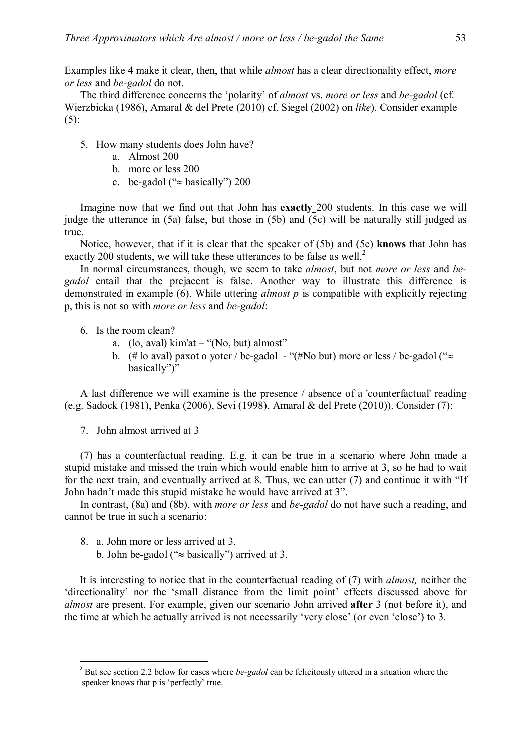Examples like 4 make it clear, then, that while *almost* has a clear directionality effect, *more or less* and *be-gadol* do not.

The third difference concerns the 'polarity' of *almost* vs. *more or less* and *be-gadol* (cf. Wierzbicka (1986), Amaral & del Prete (2010) cf. Siegel (2002) on *like*). Consider example  $(5)$ :

- 5. How many students does John have?
	- a. Almost 200
	- b. more or less 200
	- c. be-gadol (" $\approx$  basically") 200

Imagine now that we find out that John has **exactly** 200 students. In this case we will judge the utterance in (5a) false, but those in (5b) and (5c) will be naturally still judged as true.

Notice, however, that if it is clear that the speaker of (5b) and (5c) **knows** that John has exactly 200 students, we will take these utterances to be false as well.<sup>2</sup>

In normal circumstances, though, we seem to take *almost*, but not *more or less* and *begadol* entail that the prejacent is false. Another way to illustrate this difference is demonstrated in example (6). While uttering *almost p* is compatible with explicitly rejecting p, this is not so with *more or less* and *be-gadol*:

- 6. Is the room clean?
	- a. (lo, aval) kim'at  $-$  "(No, but) almost"
	- b. (# lo aval) paxot o yoter / be-gadol "(#No but) more or less / be-gadol (" $\approx$ basically")"

A last difference we will examine is the presence / absence of a 'counterfactual' reading (e.g. Sadock (1981), Penka (2006), Sevi (1998), Amaral & del Prete (2010)). Consider (7):

7. John almost arrived at 3

(7) has a counterfactual reading. E.g. it can be true in a scenario where John made a stupid mistake and missed the train which would enable him to arrive at 3, so he had to wait for the next train, and eventually arrived at 8. Thus, we can utter (7) and continue it with "If John hadn't made this stupid mistake he would have arrived at 3".

In contrast, (8a) and (8b), with *more or less* and *be-gadol* do not have such a reading, and cannot be true in such a scenario:

8. a. John more or less arrived at 3.

 $\overline{a}$ 

b. John be-gadol (" $\approx$  basically") arrived at 3.

It is interesting to notice that in the counterfactual reading of (7) with *almost,* neither the 'directionality' nor the 'small distance from the limit point' effects discussed above for *almost* are present. For example, given our scenario John arrived **after** 3 (not before it), and the time at which he actually arrived is not necessarily 'very close' (or even 'close') to 3.

<sup>2</sup> But see section 2.2 below for cases where *be-gadol* can be felicitously uttered in a situation where the speaker knows that p is 'perfectly' true.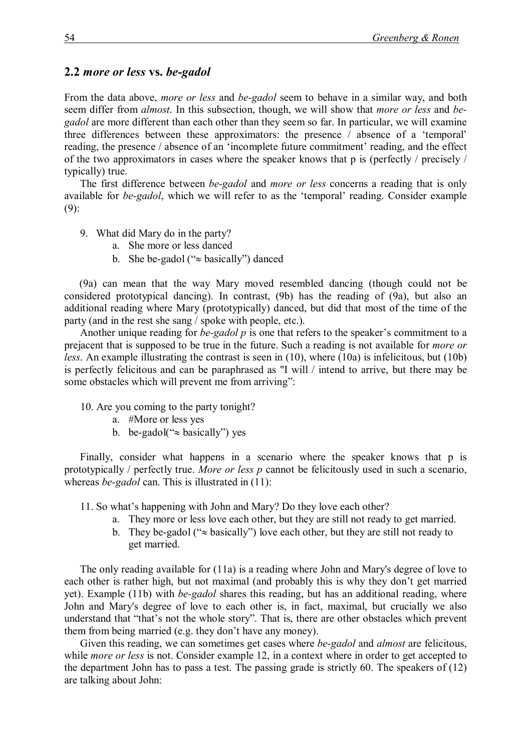## **2.2** *more or less* **vs.** *be-gadol*

From the data above, *more or less* and *be-gadol* seem to behave in a similar way, and both seem differ from *almost*. In this subsection, though, we will show that *more or less* and *begadol* are more different than each other than they seem so far. In particular, we will examine three differences between these approximators: the presence / absence of a 'temporal' reading, the presence / absence of an 'incomplete future commitment' reading, and the effect of the two approximators in cases where the speaker knows that p is (perfectly / precisely / typically) true.

The first difference between *be-gadol* and *more or less* concerns a reading that is only available for *be-gadol*, which we will refer to as the 'temporal' reading. Consider example (9):

- 9. What did Mary do in the party?
	- a. She more or less danced
		- b. She be-gadol (" $\approx$  basically") danced

(9a) can mean that the way Mary moved resembled dancing (though could not be considered prototypical dancing). In contrast, (9b) has the reading of (9a), but also an additional reading where Mary (prototypically) danced, but did that most of the time of the party (and in the rest she sang / spoke with people, etc.).

Another unique reading for *be-gadol p* is one that refers to the speaker's commitment to a prejacent that is supposed to be true in the future. Such a reading is not available for *more or less*. An example illustrating the contrast is seen in (10), where (10a) is infelicitous, but (10b) is perfectly felicitous and can be paraphrased as "I will / intend to arrive, but there may be some obstacles which will prevent me from arriving":

- 10. Are you coming to the party tonight?
	- a. #More or less yes
	- b. be-gadol(" $\approx$  basically") yes

Finally, consider what happens in a scenario where the speaker knows that p is prototypically / perfectly true. *More or less p* cannot be felicitously used in such a scenario, whereas *be-gadol* can. This is illustrated in (11):

- 11. So what's happening with John and Mary? Do they love each other?
	- a. They more or less love each other, but they are still not ready to get married.
	- b. They be-gadol (" $\approx$  basically") love each other, but they are still not ready to get married.

The only reading available for (11a) is a reading where John and Mary's degree of love to each other is rather high, but not maximal (and probably this is why they don't get married yet). Example (11b) with *be-gadol* shares this reading, but has an additional reading, where John and Mary's degree of love to each other is, in fact, maximal, but crucially we also understand that "that's not the whole story". That is, there are other obstacles which prevent them from being married (e.g. they don't have any money).

Given this reading, we can sometimes get cases where *be-gadol* and *almost* are felicitous, while *more or less* is not. Consider example 12, in a context where in order to get accepted to the department John has to pass a test. The passing grade is strictly 60. The speakers of (12) are talking about John: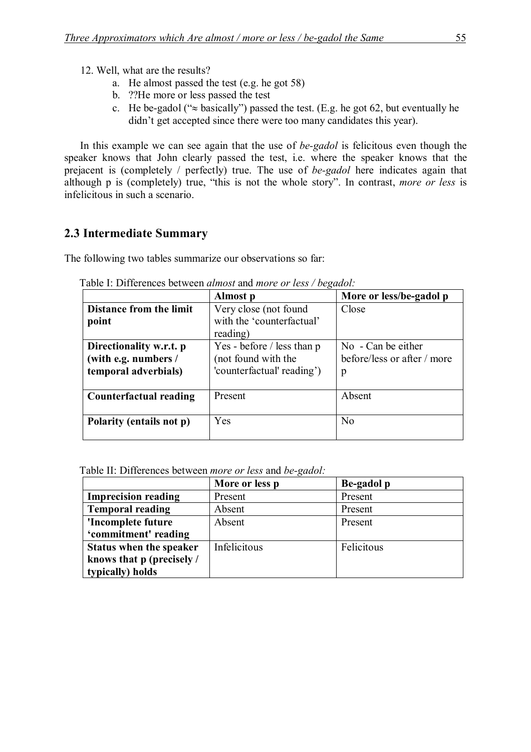12. Well, what are the results?

- a. He almost passed the test (e.g. he got 58)
- b. ??He more or less passed the test
- c. He be-gadol (" $\approx$  basically") passed the test. (E.g. he got 62, but eventually he didn't get accepted since there were too many candidates this year).

In this example we can see again that the use of *be-gadol* is felicitous even though the speaker knows that John clearly passed the test, i.e. where the speaker knows that the prejacent is (completely / perfectly) true. The use of *be-gadol* here indicates again that although p is (completely) true, "this is not the whole story". In contrast, *more or less* is infelicitous in such a scenario.

### **2.3 Intermediate Summary**

The following two tables summarize our observations so far:

|                          | Almost p                   | More or less/be-gadol p     |
|--------------------------|----------------------------|-----------------------------|
| Distance from the limit  | Very close (not found      | Close                       |
| point                    | with the 'counterfactual'  |                             |
|                          | reading)                   |                             |
| Directionality w.r.t. p  | Yes - before / less than p | $No - Can be either$        |
| (with e.g. numbers /     | (not found with the        | before/less or after / more |
| temporal adverbials)     | 'counterfactual' reading') | p                           |
| Counterfactual reading   | Present                    | Absent                      |
| Polarity (entails not p) | Yes                        | No                          |

Table I: Differences between *almost* and *more or less / begadol:*

Table II: Differences between *more or less* and *be-gadol:*

|                                | More or less p | Be-gadol p |
|--------------------------------|----------------|------------|
| <b>Imprecision reading</b>     | Present        | Present    |
| <b>Temporal reading</b>        | Absent         | Present    |
| 'Incomplete future             | Absent         | Present    |
| 'commitment' reading           |                |            |
| <b>Status when the speaker</b> | Infelicitous   | Felicitous |
| knows that p (precisely /      |                |            |
| typically) holds               |                |            |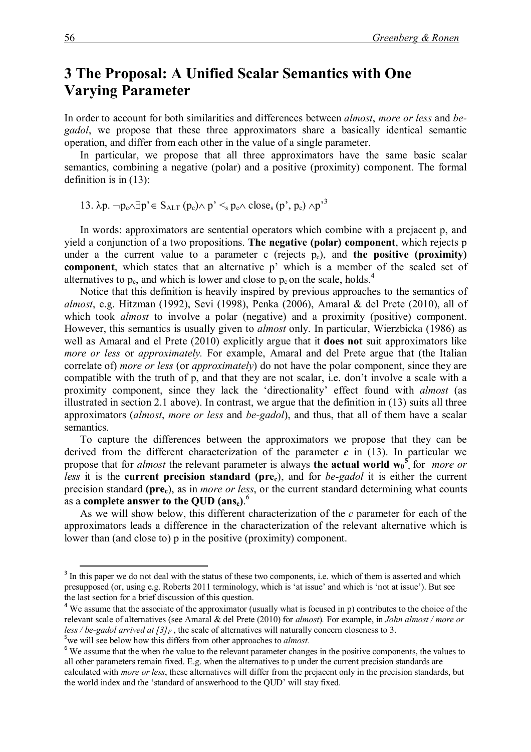## **3 The Proposal: A Unified Scalar Semantics with One Varying Parameter**

In order to account for both similarities and differences between *almost*, *more or less* and *begadol*, we propose that these three approximators share a basically identical semantic operation, and differ from each other in the value of a single parameter.

In particular, we propose that all three approximators have the same basic scalar semantics, combining a negative (polar) and a positive (proximity) component. The formal definition is in (13):

13.  $\lambda p. \neg p_c \land \exists p' \in S_{ALT} (p_c) \land p' \leq_p p_c \land close_s (p', p_c) \land p'$ <sup>3</sup>

In words: approximators are sentential operators which combine with a prejacent p, and yield a conjunction of a two propositions. **The negative (polar) component**, which rejects p under a the current value to a parameter c (rejects pc), and **the positive (proximity) component**, which states that an alternative p' which is a member of the scaled set of alternatives to  $p_c$ , and which is lower and close to  $p_c$  on the scale, holds.<sup>4</sup>

Notice that this definition is heavily inspired by previous approaches to the semantics of *almost*, e.g. Hitzman (1992), Sevi (1998), Penka (2006), Amaral & del Prete (2010), all of which took *almost* to involve a polar (negative) and a proximity (positive) component. However, this semantics is usually given to *almost* only. In particular, Wierzbicka (1986) as well as Amaral and el Prete (2010) explicitly argue that it **does not** suit approximators like *more or less* or *approximately.* For example, Amaral and del Prete argue that (the Italian correlate of) *more or less* (or *approximately*) do not have the polar component, since they are compatible with the truth of p, and that they are not scalar, i.e. don't involve a scale with a proximity component, since they lack the 'directionality' effect found with *almost* (as illustrated in section 2.1 above). In contrast, we argue that the definition in (13) suits all three approximators (*almost*, *more or less* and *be-gadol*), and thus, that all of them have a scalar semantics.

To capture the differences between the approximators we propose that they can be derived from the different characterization of the parameter *c* in (13). In particular we propose that for *almost* the relevant parameter is always **the actual world w<sup>0</sup> 5 ,** for *more or less* it is the **current precision standard (prec**), and for *be-gadol* it is either the current precision standard **(prec**), as in *more or less*, or the current standard determining what counts as a **complete answer to the QUD** (ans<sub>c</sub>).<sup>6</sup>

As we will show below, this different characterization of the *c* parameter for each of the approximators leads a difference in the characterization of the relevant alternative which is lower than (and close to) p in the positive (proximity) component.

 $\overline{a}$ 

<sup>&</sup>lt;sup>3</sup> In this paper we do not deal with the status of these two components, i.e. which of them is asserted and which presupposed (or, using e.g. Roberts 2011 terminology, which is 'at issue' and which is 'not at issue'). But see the last section for a brief discussion of this question.

<sup>&</sup>lt;sup>4</sup> We assume that the associate of the approximator (usually what is focused in p) contributes to the choice of the relevant scale of alternatives (see Amaral & del Prete (2010) for *almost*)*.* For example, in *John almost / more or less / be-gadol arrived at [3]<sup>F</sup>* , the scale of alternatives will naturally concern closeness to 3. <sup>5</sup>we will see below how this differs from other approaches to *almost.*

<sup>&</sup>lt;sup>6</sup> We assume that the when the value to the relevant parameter changes in the positive components, the values to all other parameters remain fixed. E.g. when the alternatives to p under the current precision standards are calculated with *more or less*, these alternatives will differ from the prejacent only in the precision standards, but the world index and the 'standard of answerhood to the QUD' will stay fixed.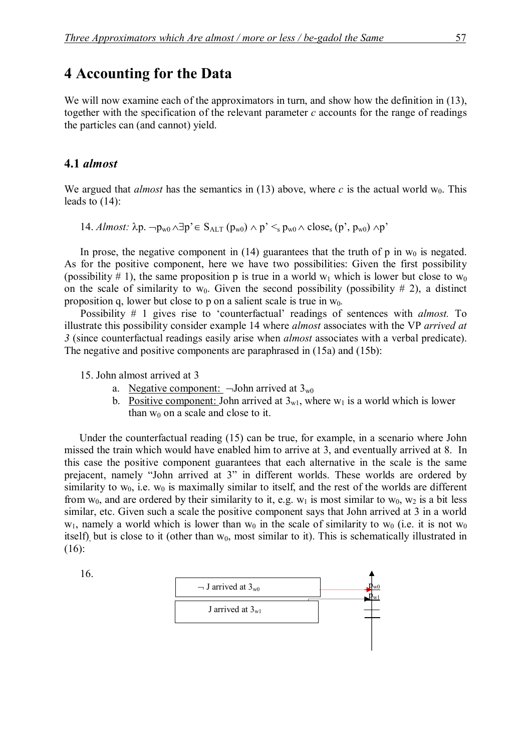## **4 Accounting for the Data**

We will now examine each of the approximators in turn, and show how the definition in (13), together with the specification of the relevant parameter *c* accounts for the range of readings the particles can (and cannot) yield.

### **4.1** *almost*

We argued that *almost* has the semantics in (13) above, where  $c$  is the actual world w<sub>0</sub>. This leads to (14):

```
14. Almost: \lambda p. \neg p_{w0} \land \exists p' \in S_{ALT} (p_{w0}) \land p' \leq p_{w0} \land \text{close}_s (p', p_{w0}) \land p'
```
In prose, the negative component in (14) guarantees that the truth of p in  $w_0$  is negated. As for the positive component, here we have two possibilities: Given the first possibility (possibility # 1), the same proposition p is true in a world w<sub>1</sub> which is lower but close to  $w_0$ on the scale of similarity to  $w_0$ . Given the second possibility (possibility # 2), a distinct proposition q, lower but close to p on a salient scale is true in  $w_0$ .

Possibility # 1 gives rise to 'counterfactual' readings of sentences with *almost.* To illustrate this possibility consider example 14 where *almost* associates with the VP *arrived at 3* (since counterfactual readings easily arise when *almost* associates with a verbal predicate). The negative and positive components are paraphrased in (15a) and (15b):

15. John almost arrived at 3

- a. Negative component:  $-John$  arrived at  $3_{w0}$
- b. Positive component: John arrived at  $3_{w1}$ , where w<sub>1</sub> is a world which is lower than  $w_0$  on a scale and close to it.

Under the counterfactual reading (15) can be true, for example, in a scenario where John missed the train which would have enabled him to arrive at 3, and eventually arrived at 8. In this case the positive component guarantees that each alternative in the scale is the same prejacent, namely "John arrived at 3" in different worlds. These worlds are ordered by similarity to  $w_0$ , i.e.  $w_0$  is maximally similar to itself, and the rest of the worlds are different from  $w_0$ , and are ordered by their similarity to it, e.g.  $w_1$  is most similar to  $w_0$ ,  $w_2$  is a bit less similar, etc. Given such a scale the positive component says that John arrived at 3 in a world  $w_1$ , namely a world which is lower than  $w_0$  in the scale of similarity to  $w_0$  (i.e. it is not  $w_0$ ) itself), but is close to it (other than  $w_0$ , most similar to it). This is schematically illustrated in (16):

16.

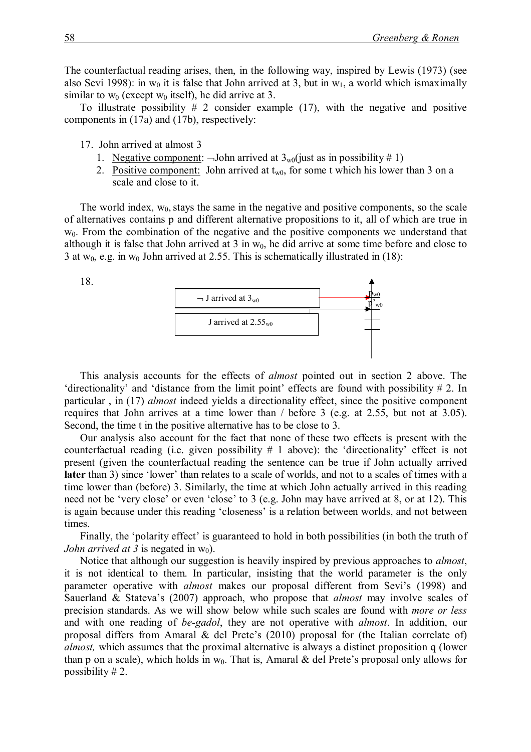The counterfactual reading arises, then, in the following way, inspired by Lewis (1973) (see also Sevi 1998): in  $w_0$  it is false that John arrived at 3, but in  $w_1$ , a world which ismaximally similar to  $w_0$  (except  $w_0$  itself), he did arrive at 3.

To illustrate possibility  $# 2$  consider example (17), with the negative and positive components in (17a) and (17b), respectively:

- 17. John arrived at almost 3
	- 1. Negative component:  $\neg$ John arrived at 3<sub>w0</sub>(just as in possibility # 1)
	- 2. Positive component: John arrived at  $t_{w0}$ , for some t which his lower than 3 on a scale and close to it.

The world index,  $w_0$ , stays the same in the negative and positive components, so the scale of alternatives contains p and different alternative propositions to it, all of which are true in w<sub>0</sub>. From the combination of the negative and the positive components we understand that although it is false that John arrived at 3 in  $w_0$ , he did arrive at some time before and close to 3 at  $w_0$ , e.g. in  $w_0$  John arrived at 2.55. This is schematically illustrated in (18):

18.



This analysis accounts for the effects of *almost* pointed out in section 2 above. The 'directionality' and 'distance from the limit point' effects are found with possibility  $\# 2$ . In particular , in (17) *almost* indeed yields a directionality effect, since the positive component requires that John arrives at a time lower than / before 3 (e.g. at 2.55, but not at 3.05). Second, the time t in the positive alternative has to be close to 3.

Our analysis also account for the fact that none of these two effects is present with the counterfactual reading (i.e. given possibility # 1 above): the 'directionality' effect is not present (given the counterfactual reading the sentence can be true if John actually arrived later than 3) since 'lower' than relates to a scale of worlds, and not to a scales of times with a time lower than (before) 3. Similarly, the time at which John actually arrived in this reading need not be 'very close' or even 'close' to 3 (e.g. John may have arrived at 8, or at 12). This is again because under this reading 'closeness' is a relation between worlds, and not between times.

Finally, the 'polarity effect' is guaranteed to hold in both possibilities (in both the truth of *John arrived at 3* is negated in  $w_0$ .

Notice that although our suggestion is heavily inspired by previous approaches to *almost*, it is not identical to them. In particular, insisting that the world parameter is the only parameter operative with *almost* makes our proposal different from Sevi's (1998) and Sauerland & Stateva's (2007) approach, who propose that *almost* may involve scales of precision standards. As we will show below while such scales are found with *more or less*  and with one reading of *be-gadol*, they are not operative with *almost*. In addition, our proposal differs from Amaral & del Prete's (2010) proposal for (the Italian correlate of) *almost,* which assumes that the proximal alternative is always a distinct proposition q (lower than p on a scale), which holds in  $w_0$ . That is, Amaral & del Prete's proposal only allows for possibility # 2.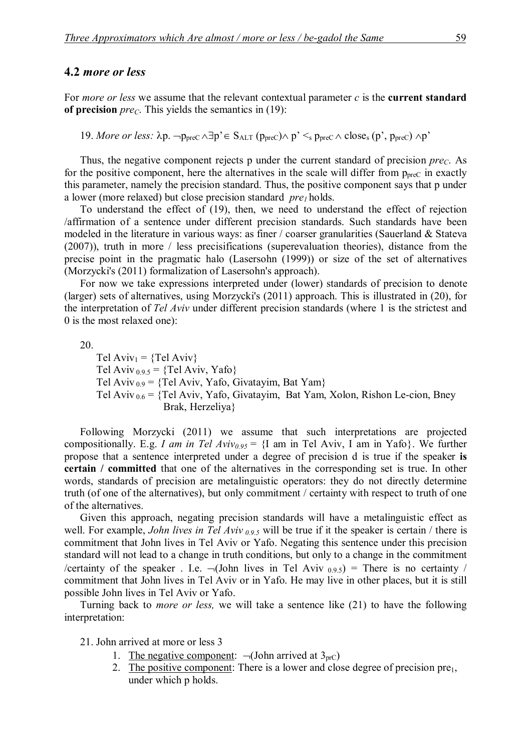#### **4.2** *more or less*

For *more or less* we assume that the relevant contextual parameter *c* is the **current standard of precision** *preC*. This yields the semantics in (19):

19. *More or less:*  $\lambda p$ .  $\neg p_{preC} \land \exists p' \in S_{ALT} (p_{preC}) \land p' \leq_{s} p_{preC} \land \text{close}_{s} (p', p_{preC}) \land p'$ 

Thus, the negative component rejects p under the current standard of precision *preC*. As for the positive component, here the alternatives in the scale will differ from  $p_{\text{preC}}$  in exactly this parameter, namely the precision standard. Thus, the positive component says that p under a lower (more relaxed) but close precision standard *pre1* holds.

To understand the effect of (19), then, we need to understand the effect of rejection /affirmation of a sentence under different precision standards. Such standards have been modeled in the literature in various ways: as finer / coarser granularities (Sauerland & Stateva (2007)), truth in more / less precisifications (superevaluation theories), distance from the precise point in the pragmatic halo (Lasersohn (1999)) or size of the set of alternatives (Morzycki's (2011) formalization of Lasersohn's approach).

For now we take expressions interpreted under (lower) standards of precision to denote (larger) sets of alternatives, using Morzycki's (2011) approach. This is illustrated in (20), for the interpretation of *Tel Aviv* under different precision standards (where 1 is the strictest and 0 is the most relaxed one):

20.

Tel Aviv<sub>1</sub> = {Tel Aviv} Tel Aviv  $_{0.9.5}$  = {Tel Aviv, Yafo} Tel Aviv  $_{0.9}$  = {Tel Aviv, Yafo, Givatayim, Bat Yam} Tel Aviv  $_{0.6}$  = {Tel Aviv, Yafo, Givatayim, Bat Yam, Xolon, Rishon Le-cion, Bney Brak, Herzeliya}

Following Morzycki (2011) we assume that such interpretations are projected compositionally. E.g. *I am in Tel Aviv*<sup>0.95</sup> = {I am in Tel Aviv, I am in Yafo}. We further propose that a sentence interpreted under a degree of precision d is true if the speaker **is certain / committed** that one of the alternatives in the corresponding set is true. In other words, standards of precision are metalinguistic operators: they do not directly determine truth (of one of the alternatives), but only commitment / certainty with respect to truth of one of the alternatives.

Given this approach, negating precision standards will have a metalinguistic effect as well. For example, *John lives in Tel Aviv* 0.9.5 will be true if it the speaker is certain / there is commitment that John lives in Tel Aviv or Yafo. Negating this sentence under this precision standard will not lead to a change in truth conditions, but only to a change in the commitment /certainty of the speaker . I.e.  $\neg$ (John lives in Tel Aviv  $0.95$ ) = There is no certainty / commitment that John lives in Tel Aviv or in Yafo. He may live in other places, but it is still possible John lives in Tel Aviv or Yafo.

Turning back to *more or less,* we will take a sentence like (21) to have the following interpretation:

21. John arrived at more or less 3

- 1. The negative component:  $\neg$ (John arrived at 3<sub>prC</sub>)
- 2. The positive component: There is a lower and close degree of precision pre<sub>1</sub>, under which p holds.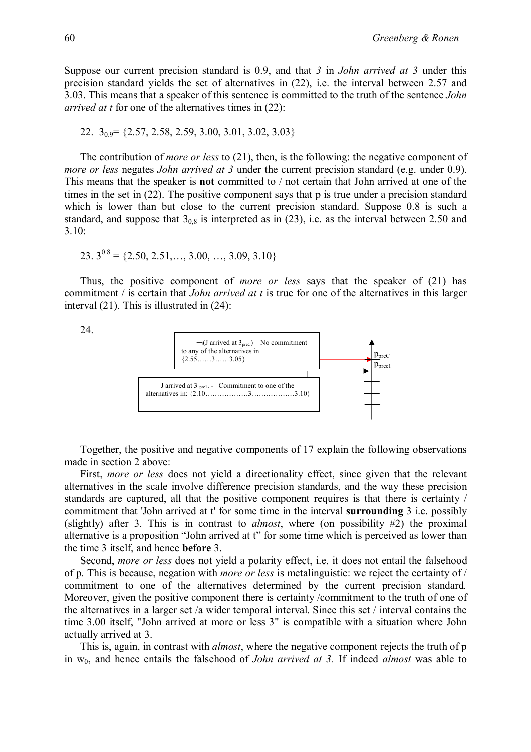Suppose our current precision standard is 0.9, and that *3* in *John arrived at 3* under this precision standard yields the set of alternatives in (22), i.e. the interval between 2.57 and 3.03. This means that a speaker of this sentence is committed to the truth of the sentence *John arrived at t* for one of the alternatives times in (22):

22. 30.9= {2.57, 2.58, 2.59, 3.00, 3.01, 3.02, 3.03}

The contribution of *more or less* to (21), then, is the following: the negative component of *more or less* negates *John arrived at 3* under the current precision standard (e.g. under 0.9). This means that the speaker is **not** committed to / not certain that John arrived at one of the times in the set in (22). The positive component says that p is true under a precision standard which is lower than but close to the current precision standard. Suppose 0.8 is such a standard, and suppose that  $3<sub>0,8</sub>$  is interpreted as in (23), i.e. as the interval between 2.50 and  $3.10<sup>1</sup>$ 

23.  $3^{0.8} = \{2.50, 2.51, \ldots, 3.00, \ldots, 3.09, 3.10\}$ 

Thus, the positive component of *more or less* says that the speaker of (21) has commitment / is certain that *John arrived at t* is true for one of the alternatives in this larger interval (21). This is illustrated in (24):





Together, the positive and negative components of 17 explain the following observations made in section 2 above:

First, *more or less* does not yield a directionality effect, since given that the relevant alternatives in the scale involve difference precision standards, and the way these precision standards are captured, all that the positive component requires is that there is certainty / commitment that 'John arrived at t' for some time in the interval **surrounding** 3 i.e. possibly (slightly) after 3. This is in contrast to *almost*, where (on possibility #2) the proximal alternative is a proposition "John arrived at t" for some time which is perceived as lower than the time 3 itself, and hence **before** 3.

Second, *more or less* does not yield a polarity effect, i.e. it does not entail the falsehood of p. This is because, negation with *more or less* is metalinguistic: we reject the certainty of / commitment to one of the alternatives determined by the current precision standard*.* Moreover, given the positive component there is certainty /commitment to the truth of one of the alternatives in a larger set /a wider temporal interval. Since this set / interval contains the time 3.00 itself, "John arrived at more or less 3" is compatible with a situation where John actually arrived at 3.

This is, again, in contrast with *almost*, where the negative component rejects the truth of p in w0, and hence entails the falsehood of *John arrived at 3.* If indeed *almost* was able to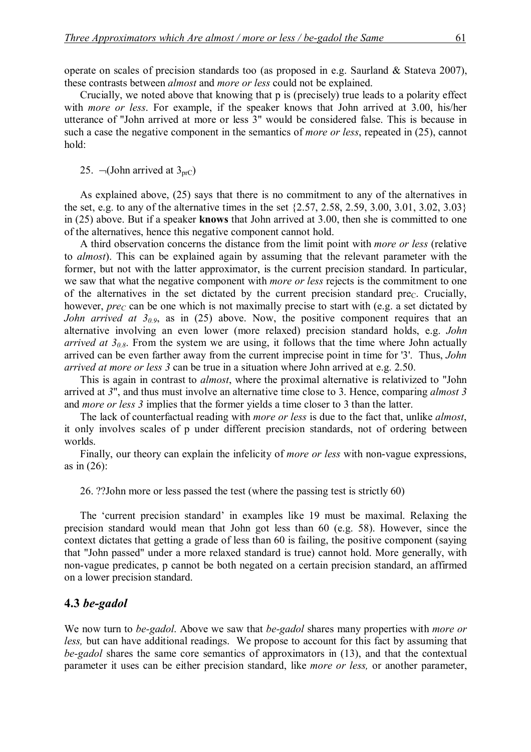operate on scales of precision standards too (as proposed in e.g. Saurland & Stateva 2007), these contrasts between *almost* and *more or less* could not be explained.

Crucially, we noted above that knowing that p is (precisely) true leads to a polarity effect with *more or less*. For example, if the speaker knows that John arrived at 3.00, his/her utterance of "John arrived at more or less 3" would be considered false. This is because in such a case the negative component in the semantics of *more or less*, repeated in (25), cannot hold:

25.  $\lnot$  (John arrived at 3<sub>prC</sub>)

As explained above, (25) says that there is no commitment to any of the alternatives in the set, e.g. to any of the alternative times in the set  $\{2.57, 2.58, 2.59, 3.00, 3.01, 3.02, 3.03\}$ in (25) above. But if a speaker **knows** that John arrived at 3.00, then she is committed to one of the alternatives, hence this negative component cannot hold.

A third observation concerns the distance from the limit point with *more or less* (relative to *almost*). This can be explained again by assuming that the relevant parameter with the former, but not with the latter approximator, is the current precision standard. In particular, we saw that what the negative component with *more or less* rejects is the commitment to one of the alternatives in the set dictated by the current precision standard pre $C$ . Crucially, however, *pre<sup>C</sup>* can be one which is not maximally precise to start with (e.g. a set dictated by *John arrived at*  $3<sub>0.9</sub>$ , as in (25) above. Now, the positive component requires that an alternative involving an even lower (more relaxed) precision standard holds, e.g. *John arrived at*  $3<sub>0.8</sub>$ . From the system we are using, it follows that the time where John actually arrived can be even farther away from the current imprecise point in time for '3'. Thus, *John arrived at more or less 3* can be true in a situation where John arrived at e.g. 2.50.

This is again in contrast to *almost*, where the proximal alternative is relativized to "John arrived at *3*", and thus must involve an alternative time close to 3. Hence, comparing *almost 3* and *more or less 3* implies that the former yields a time closer to 3 than the latter.

The lack of counterfactual reading with *more or less* is due to the fact that, unlike *almost*, it only involves scales of p under different precision standards, not of ordering between worlds.

Finally, our theory can explain the infelicity of *more or less* with non-vague expressions, as in (26):

26. ??John more or less passed the test (where the passing test is strictly 60)

The 'current precision standard' in examples like 19 must be maximal. Relaxing the precision standard would mean that John got less than 60 (e.g. 58). However, since the context dictates that getting a grade of less than 60 is failing, the positive component (saying that "John passed" under a more relaxed standard is true) cannot hold. More generally, with non-vague predicates, p cannot be both negated on a certain precision standard, an affirmed on a lower precision standard.

#### **4.3** *be-gadol*

We now turn to *be-gadol*. Above we saw that *be-gadol* shares many properties with *more or less*, but can have additional readings. We propose to account for this fact by assuming that *be-gadol* shares the same core semantics of approximators in (13), and that the contextual parameter it uses can be either precision standard, like *more or less,* or another parameter,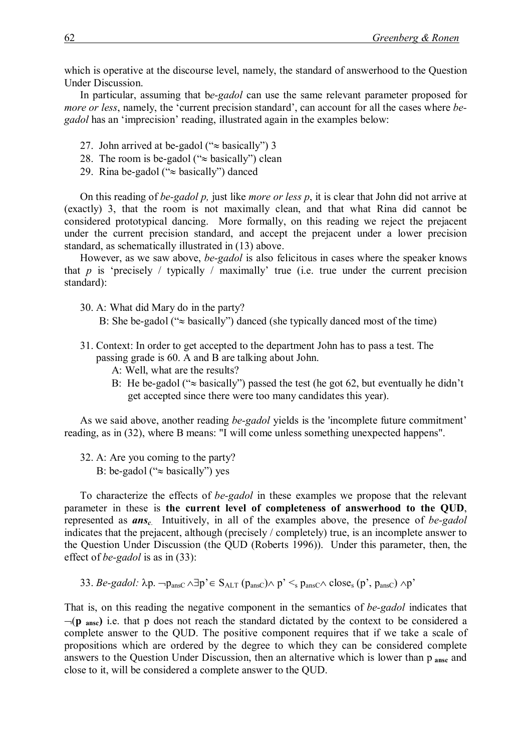which is operative at the discourse level, namely, the standard of answerhood to the Question Under Discussion.

In particular, assuming that b*e-gadol* can use the same relevant parameter proposed for *more or less*, namely, the 'current precision standard', can account for all the cases where *begadol* has an 'imprecision' reading, illustrated again in the examples below:

- 27. John arrived at be-gadol (" $\approx$  basically") 3
- 28. The room is be-gadol (" $\approx$  basically") clean
- 29. Rina be-gadol (" $\approx$  basically") danced

On this reading of *be-gadol p,* just like *more or less p*, it is clear that John did not arrive at (exactly) 3, that the room is not maximally clean, and that what Rina did cannot be considered prototypical dancing. More formally, on this reading we reject the prejacent under the current precision standard, and accept the prejacent under a lower precision standard, as schematically illustrated in (13) above.

However, as we saw above, *be-gadol* is also felicitous in cases where the speaker knows that  $p$  is 'precisely / typically / maximally' true (i.e. true under the current precision standard):

- 30. A: What did Mary do in the party?
	- B: She be-gadol (" $\approx$  basically") danced (she typically danced most of the time)
- 31. Context: In order to get accepted to the department John has to pass a test. The passing grade is 60. A and B are talking about John.
	- A: Well, what are the results?
	- B: He be-gadol (" $\approx$  basically") passed the test (he got 62, but eventually he didn't get accepted since there were too many candidates this year).

As we said above, another reading *be-gadol* yields is the 'incomplete future commitment' reading, as in (32), where B means: "I will come unless something unexpected happens".

- 32. A: Are you coming to the party?
	- B: be-gadol (" $\approx$  basically") yes

To characterize the effects of *be-gadol* in these examples we propose that the relevant parameter in these is **the current level of completeness of answerhood to the QUD**, represented as *ansc*. Intuitively, in all of the examples above, the presence of *be-gadol* indicates that the prejacent, although (precisely / completely) true, is an incomplete answer to the Question Under Discussion (the QUD (Roberts 1996)). Under this parameter, then, the effect of *be-gadol* is as in (33):

33. *Be-gadol*: 
$$
\lambda p. \neg p_{ansC} \land \exists p' \in S_{ALT} (p_{ansC}) \land p' \leq_{s} p_{ansC} \land close_{s} (p', p_{ansC}) \land p'
$$

That is, on this reading the negative component in the semantics of *be-gadol* indicates that  $\neg$ (**p** ansc) i.e. that p does not reach the standard dictated by the context to be considered a complete answer to the QUD. The positive component requires that if we take a scale of propositions which are ordered by the degree to which they can be considered complete answers to the Question Under Discussion, then an alternative which is lower than p **ansc** and close to it, will be considered a complete answer to the QUD.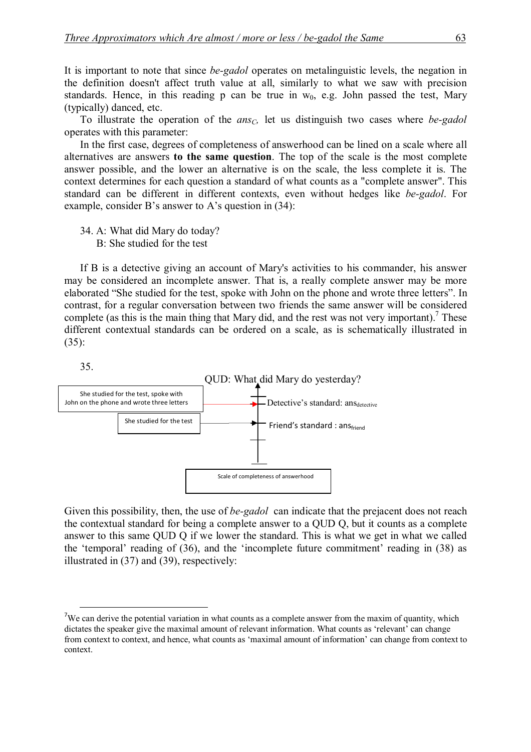It is important to note that since *be-gadol* operates on metalinguistic levels, the negation in the definition doesn't affect truth value at all, similarly to what we saw with precision standards. Hence, in this reading p can be true in  $w_0$ , e.g. John passed the test, Mary (typically) danced, etc.

To illustrate the operation of the *ansC,* let us distinguish two cases where *be-gadol* operates with this parameter:

In the first case, degrees of completeness of answerhood can be lined on a scale where all alternatives are answers **to the same question**. The top of the scale is the most complete answer possible, and the lower an alternative is on the scale, the less complete it is. The context determines for each question a standard of what counts as a "complete answer". This standard can be different in different contexts, even without hedges like *be-gadol*. For example, consider B's answer to A's question in (34):

34. A: What did Mary do today?

B: She studied for the test

If B is a detective giving an account of Mary's activities to his commander, his answer may be considered an incomplete answer. That is, a really complete answer may be more elaborated "She studied for the test, spoke with John on the phone and wrote three letters". In contrast, for a regular conversation between two friends the same answer will be considered complete (as this is the main thing that Mary did, and the rest was not very important).<sup>7</sup> These different contextual standards can be ordered on a scale, as is schematically illustrated in (35):

35.

 $\overline{a}$ 



Given this possibility, then, the use of *be-gadol* can indicate that the prejacent does not reach the contextual standard for being a complete answer to a QUD Q, but it counts as a complete answer to this same QUD Q if we lower the standard. This is what we get in what we called the 'temporal' reading of (36), and the 'incomplete future commitment' reading in (38) as illustrated in (37) and (39), respectively:

<sup>&</sup>lt;sup>7</sup>We can derive the potential variation in what counts as a complete answer from the maxim of quantity, which dictates the speaker give the maximal amount of relevant information. What counts as 'relevant' can change from context to context, and hence, what counts as 'maximal amount of information' can change from context to context.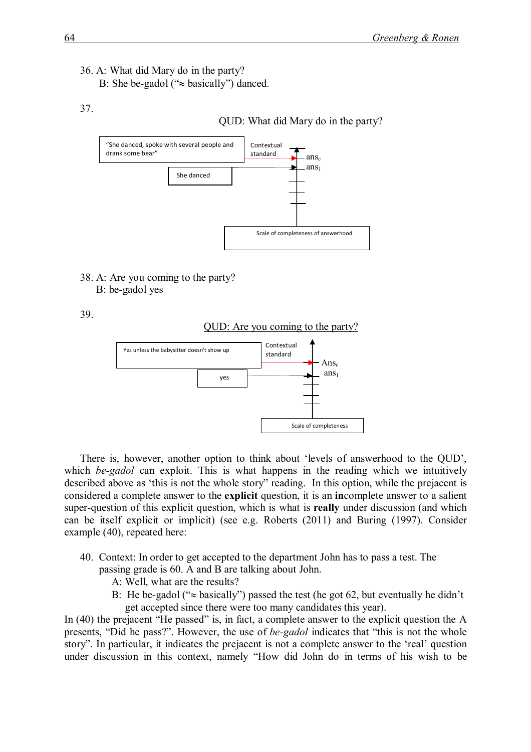#### 36. A: What did Mary do in the party? B: She be-gadol (" $\approx$  basically") danced.

#### 37.

QUD: What did Mary do in the party?



#### 38. A: Are you coming to the party? B: be-gadol yes

39.

QUD: Are you coming to the party?



There is, however, another option to think about 'levels of answerhood to the QUD', which *be-gadol* can exploit. This is what happens in the reading which we intuitively described above as 'this is not the whole story" reading. In this option, while the prejacent is considered a complete answer to the **explicit** question, it is an **in**complete answer to a salient super-question of this explicit question, which is what is **really** under discussion (and which can be itself explicit or implicit) (see e.g. Roberts (2011) and Buring (1997). Consider example (40), repeated here:

- 40. Context: In order to get accepted to the department John has to pass a test. The passing grade is 60. A and B are talking about John.
	- A: Well, what are the results?
	- B: He be-gadol (" $\approx$  basically") passed the test (he got 62, but eventually he didn't get accepted since there were too many candidates this year).

In (40) the prejacent "He passed" is, in fact, a complete answer to the explicit question the A presents, "Did he pass?". However, the use of *be-gadol* indicates that "this is not the whole story". In particular, it indicates the prejacent is not a complete answer to the 'real' question under discussion in this context, namely "How did John do in terms of his wish to be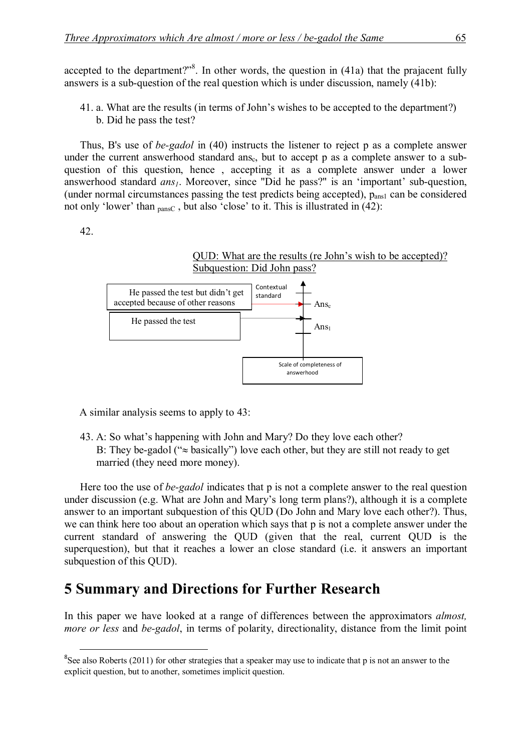accepted to the department?"<sup>8</sup>. In other words, the question in  $(41a)$  that the prajacent fully answers is a sub-question of the real question which is under discussion, namely (41b):

41. a. What are the results (in terms of John's wishes to be accepted to the department?) b. Did he pass the test?

Thus, B's use of *be-gadol* in (40) instructs the listener to reject p as a complete answer under the current answerhood standard ans<sub>c</sub>, but to accept p as a complete answer to a subquestion of this question, hence , accepting it as a complete answer under a lower answerhood standard *ans1*. Moreover, since "Did he pass?" is an 'important' sub-question, (under normal circumstances passing the test predicts being accepted),  $p<sub>ans1</sub>$  can be considered not only 'lower' than  $_{\text{pansC}}$ , but also 'close' to it. This is illustrated in (42):

42.

 $\overline{a}$ 





A similar analysis seems to apply to 43:

43. A: So what's happening with John and Mary? Do they love each other?

B: They be-gadol (" $\approx$  basically") love each other, but they are still not ready to get married (they need more money).

Here too the use of *be-gadol* indicates that p is not a complete answer to the real question under discussion (e.g. What are John and Mary's long term plans?), although it is a complete answer to an important subquestion of this QUD (Do John and Mary love each other?). Thus, we can think here too about an operation which says that p is not a complete answer under the current standard of answering the QUD (given that the real, current QUD is the superquestion), but that it reaches a lower an close standard (i.e. it answers an important subquestion of this QUD).

## **5 Summary and Directions for Further Research**

In this paper we have looked at a range of differences between the approximators *almost, more or less* and *be-gadol*, in terms of polarity, directionality, distance from the limit point

<sup>&</sup>lt;sup>8</sup>See also Roberts (2011) for other strategies that a speaker may use to indicate that p is not an answer to the explicit question, but to another, sometimes implicit question.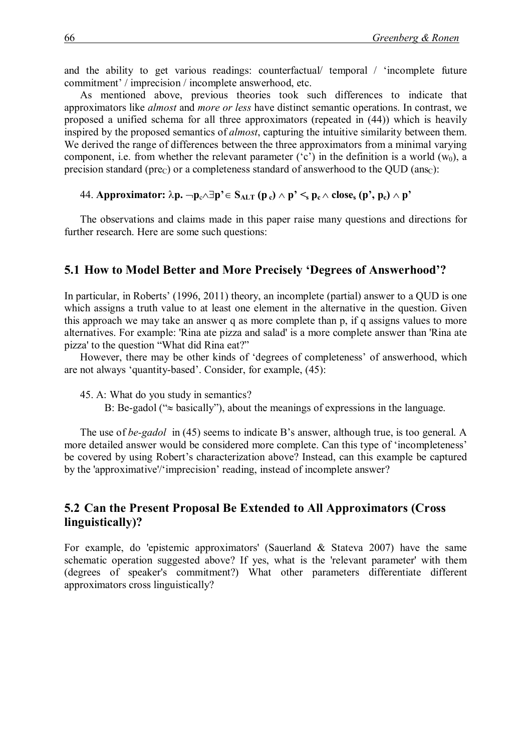and the ability to get various readings: counterfactual/ temporal / 'incomplete future commitment' / imprecision / incomplete answerhood, etc.

As mentioned above, previous theories took such differences to indicate that approximators like *almost* and *more or less* have distinct semantic operations. In contrast, we proposed a unified schema for all three approximators (repeated in (44)) which is heavily inspired by the proposed semantics of *almost*, capturing the intuitive similarity between them. We derived the range of differences between the three approximators from a minimal varying component, i.e. from whether the relevant parameter ( $\degree$ c') in the definition is a world (w<sub>0</sub>), a precision standard (pre $c$ ) or a completeness standard of answerhood to the QUD (ans $c$ ):

### **44. Approximator:**  $\lambda \mathbf{p}$ .  $\neg \mathbf{p}_c \wedge \exists \mathbf{p}^* \in \mathbf{S}_{\mathrm{ALT}}$  ( $\mathbf{p}_c \wedge \mathbf{p}^* \leq \mathbf{p}_c \wedge \mathbf{close}_s$  ( $\mathbf{p}^*, \mathbf{p}_c \wedge \mathbf{p}^*$ )

The observations and claims made in this paper raise many questions and directions for further research. Here are some such questions:

## **5.1 How to Model Better and More Precisely 'Degrees of Answerhood'?**

In particular, in Roberts' (1996, 2011) theory, an incomplete (partial) answer to a QUD is one which assigns a truth value to at least one element in the alternative in the question. Given this approach we may take an answer q as more complete than p, if q assigns values to more alternatives. For example: 'Rina ate pizza and salad' is a more complete answer than 'Rina ate pizza' to the question "What did Rina eat?"

However, there may be other kinds of 'degrees of completeness' of answerhood, which are not always 'quantity-based'. Consider, for example, (45):

45. A: What do you study in semantics?

B: Be-gadol (" $\approx$  basically"), about the meanings of expressions in the language.

The use of *be-gadol* in (45) seems to indicate B's answer, although true, is too general. A more detailed answer would be considered more complete. Can this type of 'incompleteness' be covered by using Robert's characterization above? Instead, can this example be captured by the 'approximative'/'imprecision' reading, instead of incomplete answer?

## **5.2 Can the Present Proposal Be Extended to All Approximators (Cross linguistically)?**

For example, do 'epistemic approximators' (Sauerland & Stateva 2007) have the same schematic operation suggested above? If yes, what is the 'relevant parameter' with them (degrees of speaker's commitment?) What other parameters differentiate different approximators cross linguistically?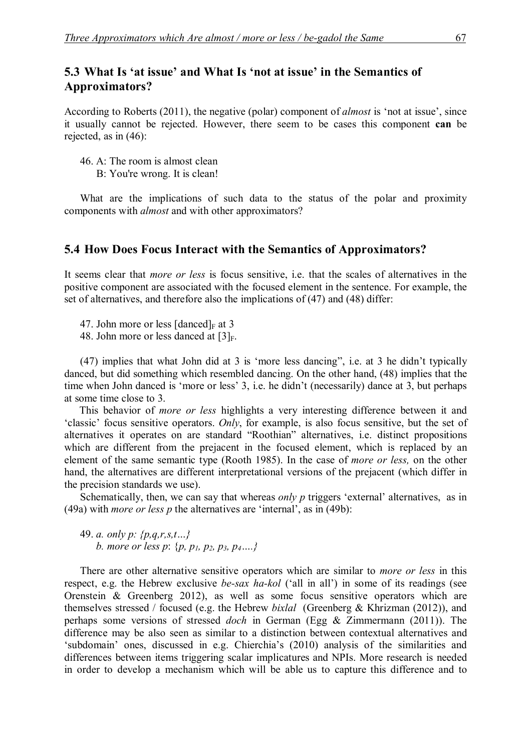## **5.3 What Is 'at issue' and What Is 'not at issue' in the Semantics of Approximators?**

According to Roberts (2011), the negative (polar) component of *almost* is 'not at issue', since it usually cannot be rejected. However, there seem to be cases this component **can** be rejected, as in (46):

46. A: The room is almost clean

B: You're wrong. It is clean!

What are the implications of such data to the status of the polar and proximity components with *almost* and with other approximators?

### **5.4 How Does Focus Interact with the Semantics of Approximators?**

It seems clear that *more or less* is focus sensitive, i.e. that the scales of alternatives in the positive component are associated with the focused element in the sentence. For example, the set of alternatives, and therefore also the implications of (47) and (48) differ:

- 47. John more or less  $\lceil$  danced $\rceil$ <sub>F</sub> at 3
- 48. John more or less danced at  $[3]_F$ .

(47) implies that what John did at 3 is 'more less dancing", i.e. at 3 he didn't typically danced, but did something which resembled dancing. On the other hand, (48) implies that the time when John danced is 'more or less' 3, i.e. he didn't (necessarily) dance at 3, but perhaps at some time close to 3.

This behavior of *more or less* highlights a very interesting difference between it and 'classic' focus sensitive operators. *Only*, for example, is also focus sensitive, but the set of alternatives it operates on are standard "Roothian" alternatives, i.e. distinct propositions which are different from the prejacent in the focused element, which is replaced by an element of the same semantic type (Rooth 1985). In the case of *more or less,* on the other hand, the alternatives are different interpretational versions of the prejacent (which differ in the precision standards we use).

Schematically, then, we can say that whereas *only p* triggers 'external' alternatives, as in (49a) with *more or less p* the alternatives are 'internal', as in (49b):

49. *a. only p: {p,q,r,s,t…} b. more or less p*: {*p, p1, p2, p3, p4….}*

There are other alternative sensitive operators which are similar to *more or less* in this respect, e.g. the Hebrew exclusive *be-sax ha-kol* ('all in all') in some of its readings (see Orenstein & Greenberg 2012), as well as some focus sensitive operators which are themselves stressed / focused (e.g. the Hebrew *bixlal* (Greenberg & Khrizman (2012)), and perhaps some versions of stressed *doch* in German (Egg & Zimmermann (2011)). The difference may be also seen as similar to a distinction between contextual alternatives and 'subdomain' ones, discussed in e.g. Chierchia's (2010) analysis of the similarities and differences between items triggering scalar implicatures and NPIs. More research is needed in order to develop a mechanism which will be able us to capture this difference and to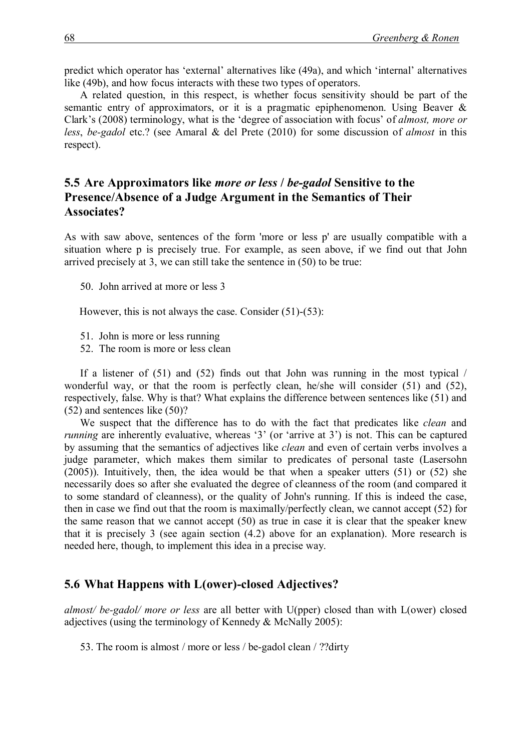predict which operator has 'external' alternatives like (49a), and which 'internal' alternatives like (49b), and how focus interacts with these two types of operators.

A related question, in this respect, is whether focus sensitivity should be part of the semantic entry of approximators, or it is a pragmatic epiphenomenon. Using Beaver & Clark's (2008) terminology, what is the 'degree of association with focus' of *almost, more or less*, *be-gadol* etc.? (see Amaral & del Prete (2010) for some discussion of *almost* in this respect).

## **5.5 Are Approximators like** *more or less* **/** *be-gadol* **Sensitive to the Presence/Absence of a Judge Argument in the Semantics of Their Associates?**

As with saw above, sentences of the form 'more or less p' are usually compatible with a situation where p is precisely true. For example, as seen above, if we find out that John arrived precisely at 3, we can still take the sentence in (50) to be true:

50. John arrived at more or less 3

However, this is not always the case. Consider (51)-(53):

- 51. John is more or less running
- 52. The room is more or less clean

If a listener of (51) and (52) finds out that John was running in the most typical / wonderful way, or that the room is perfectly clean, he/she will consider (51) and (52), respectively, false. Why is that? What explains the difference between sentences like (51) and (52) and sentences like (50)?

We suspect that the difference has to do with the fact that predicates like *clean* and *running* are inherently evaluative, whereas '3' (or 'arrive at 3') is not. This can be captured by assuming that the semantics of adjectives like *clean* and even of certain verbs involves a judge parameter, which makes them similar to predicates of personal taste (Lasersohn (2005)). Intuitively, then, the idea would be that when a speaker utters (51) or (52) she necessarily does so after she evaluated the degree of cleanness of the room (and compared it to some standard of cleanness), or the quality of John's running. If this is indeed the case, then in case we find out that the room is maximally/perfectly clean, we cannot accept (52) for the same reason that we cannot accept (50) as true in case it is clear that the speaker knew that it is precisely 3 (see again section (4.2) above for an explanation). More research is needed here, though, to implement this idea in a precise way.

## **5.6 What Happens with L(ower)-closed Adjectives?**

*almost/ be-gadol/ more or less* are all better with U(pper) closed than with L(ower) closed adjectives (using the terminology of Kennedy & McNally 2005):

53. The room is almost / more or less / be-gadol clean / ??dirty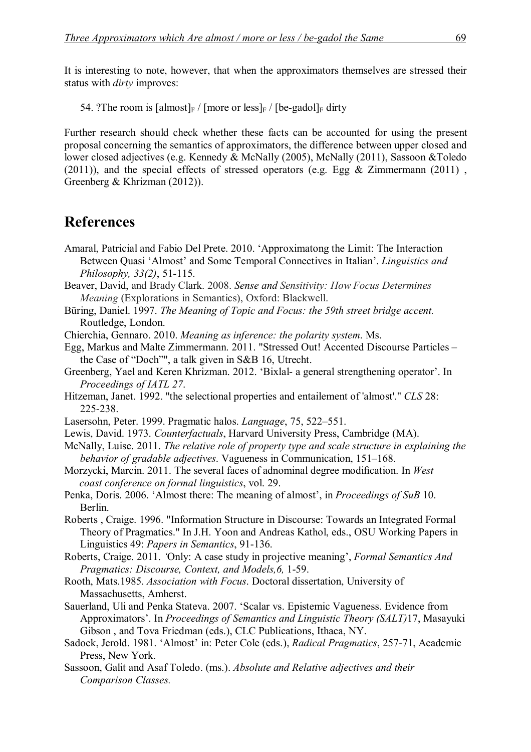It is interesting to note, however, that when the approximators themselves are stressed their status with *dirty* improves:

54. ?The room is  $\left[\text{almost}\right]_F$  /  $\left[\text{more or less}\right]_F$  /  $\left[\text{be-gadol}\right]_F$  dirty

Further research should check whether these facts can be accounted for using the present proposal concerning the semantics of approximators, the difference between upper closed and lower closed adjectives (e.g. Kennedy & McNally (2005), McNally (2011), Sassoon &Toledo (2011)), and the special effects of stressed operators (e.g. Egg  $&$  Zimmermann (2011), Greenberg & Khrizman (2012)).

## **References**

- Amaral, Patricial and Fabio Del Prete. 2010. 'Approximatong the Limit: The Interaction Between Quasi 'Almost' and Some Temporal Connectives in Italian'. *Linguistics and Philosophy, 33(2)*, 51-115.
- Beaver, David, and Brady Clark. 2008. *Sense and Sensitivity: How Focus Determines Meaning* (Explorations in Semantics), Oxford: Blackwell.
- Büring, Daniel. 1997. *The Meaning of Topic and Focus: the 59th street bridge accent.* Routledge, London.
- Chierchia, Gennaro. 2010. *Meaning as inference: the polarity system*. Ms.
- Egg, Markus and Malte Zimmermann. 2011. "Stressed Out! Accented Discourse Particles the Case of "Doch"", a talk given in S&B 16, Utrecht.
- Greenberg, Yael and Keren Khrizman. 2012. 'Bixlal- a general strengthening operator'. In *Proceedings of IATL 27*.
- Hitzeman, Janet. 1992. "the selectional properties and entailement of 'almost'." *CLS* 28: 225-238.
- Lasersohn, Peter. 1999. Pragmatic halos. *Language*, 75, 522–551.
- Lewis, David. 1973. *Counterfactuals*, Harvard University Press, Cambridge (MA).
- McNally, Luise. 2011. *The relative role of property type and scale structure in explaining the behavior of gradable adjectives*. Vagueness in Communication, 151–168.
- Morzycki, Marcin. 2011. The several faces of adnominal degree modification. In *West coast conference on formal linguistics*, vol. 29.
- Penka, Doris. 2006. 'Almost there: The meaning of almost', in *Proceedings of SuB* 10. Berlin.
- Roberts , Craige. 1996. "Information Structure in Discourse: Towards an Integrated Formal Theory of Pragmatics." In J.H. Yoon and Andreas Kathol, eds., OSU Working Papers in Linguistics 49: *Papers in Semantics*, 91-136.
- Roberts, Craige. 2011. *'*Only: A case study in projective meaning', *Formal Semantics And Pragmatics: Discourse, Context, and Models,6,* 1-59.
- Rooth, Mats.1985. *Association with Focus*. Doctoral dissertation, University of Massachusetts, Amherst.
- Sauerland, Uli and Penka Stateva. 2007. 'Scalar vs. Epistemic Vagueness. Evidence from Approximators'. In *Proceedings of Semantics and Linguistic Theory (SALT)*17, Masayuki Gibson , and Tova Friedman (eds.), CLC Publications, Ithaca, NY.
- Sadock, Jerold. 1981. 'Almost' in: Peter Cole (eds.), *Radical Pragmatics*, 257-71, Academic Press, New York.
- Sassoon, Galit and Asaf Toledo. (ms.). *Absolute and Relative adjectives and their Comparison Classes.*